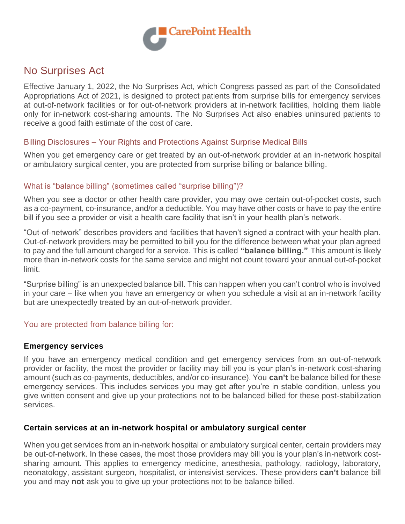

# No Surprises Act

Effective January 1, 2022, the No Surprises Act, which Congress passed as part of the Consolidated Appropriations Act of 2021, is designed to protect patients from surprise bills for emergency services at out-of-network facilities or for out-of-network providers at in-network facilities, holding them liable only for in-network cost-sharing amounts. The No Surprises Act also enables uninsured patients to receive a good faith estimate of the cost of care.

# Billing Disclosures – Your Rights and Protections Against Surprise Medical Bills

When you get emergency care or get treated by an out-of-network provider at an in-network hospital or ambulatory surgical center, you are protected from surprise billing or balance billing.

#### What is "balance billing" (sometimes called "surprise billing")?

When you see a doctor or other health care provider, you may owe certain out-of-pocket costs, such as a co-payment, co-insurance, and/or a deductible. You may have other costs or have to pay the entire bill if you see a provider or visit a health care facility that isn't in your health plan's network.

"Out-of-network" describes providers and facilities that haven't signed a contract with your health plan. Out-of-network providers may be permitted to bill you for the difference between what your plan agreed to pay and the full amount charged for a service. This is called **"balance billing."** This amount is likely more than in-network costs for the same service and might not count toward your annual out-of-pocket limit.

"Surprise billing" is an unexpected balance bill. This can happen when you can't control who is involved in your care – like when you have an emergency or when you schedule a visit at an in-network facility but are unexpectedly treated by an out-of-network provider.

# You are protected from balance billing for:

#### **Emergency services**

If you have an emergency medical condition and get emergency services from an out-of-network provider or facility, the most the provider or facility may bill you is your plan's in-network cost-sharing amount (such as co-payments, deductibles, and/or co-insurance). You **can't** be balance billed for these emergency services. This includes services you may get after you're in stable condition, unless you give written consent and give up your protections not to be balanced billed for these post-stabilization services.

# **Certain services at an in-network hospital or ambulatory surgical center**

When you get services from an in-network hospital or ambulatory surgical center, certain providers may be out-of-network. In these cases, the most those providers may bill you is your plan's in-network costsharing amount. This applies to emergency medicine, anesthesia, pathology, radiology, laboratory, neonatology, assistant surgeon, hospitalist, or intensivist services. These providers **can't** balance bill you and may **not** ask you to give up your protections not to be balance billed.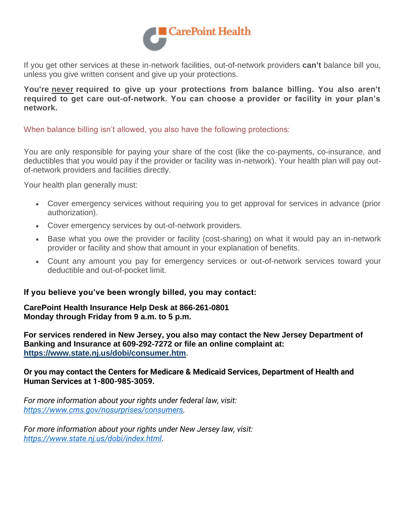

If you get other services at these in-network facilities, out-of-network providers **can't** balance bill you, unless you give written consent and give up your protections.

**You're never required to give up your protections from balance billing. You also aren't required to get care out-of-network. You can choose a provider or facility in your plan's network.**

When balance billing isn't allowed, you also have the following protections:

You are only responsible for paying your share of the cost (like the co-payments, co-insurance, and deductibles that you would pay if the provider or facility was in-network). Your health plan will pay outof-network providers and facilities directly.

Your health plan generally must:

- Cover emergency services without requiring you to get approval for services in advance (prior authorization).
- Cover emergency services by out-of-network providers.
- Base what you owe the provider or facility (cost-sharing) on what it would pay an in-network provider or facility and show that amount in your explanation of benefits.
- Count any amount you pay for emergency services or out-of-network services toward your deductible and out-of-pocket limit.

# **If you believe you've been wrongly billed, you may contact:**

**CarePoint Health Insurance Help Desk at 866-261-0801 Monday through Friday from 9 a.m. to 5 p.m.**

**For services rendered in New Jersey, you also may contact the New Jersey Department of Banking and Insurance at 609-292-7272 or file an online complaint at: [https://www.state.nj.us/dobi/consumer.htm.](https://www.state.nj.us/dobi/consumer.htm)**

**Or you may contact the Centers for Medicare & Medicaid Services, Department of Health and Human Services at 1-800-985-3059.**

*For more information about your rights under federal law, visit: [https://www.cms.gov/nosurprises/consumers.](https://www.cms.gov/nosurprises/consumers)*

*For more information about your rights under New Jersey law, visit: [https://www.state.nj.us/dobi/index.html.](https://www.state.nj.us/dobi/index.html)*